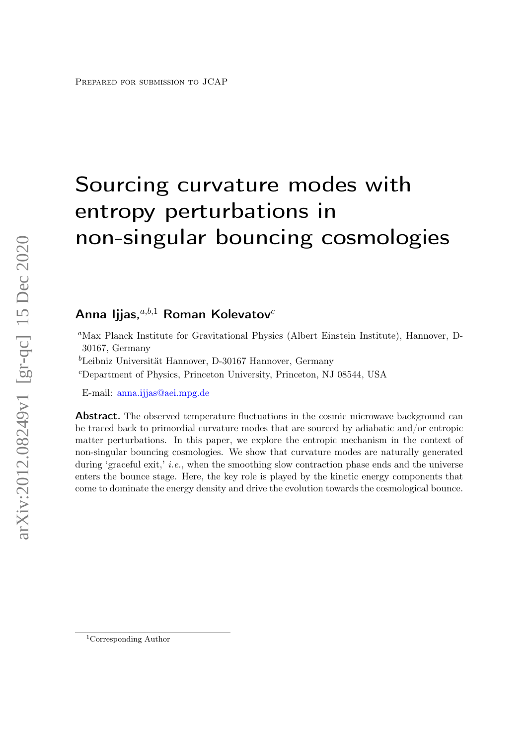# Sourcing curvature modes with entropy perturbations in non-singular bouncing cosmologies

# Anna Ijjas, $a,b,1}$  Roman Kolevatov<sup>c</sup>

- <sup>a</sup>Max Planck Institute for Gravitational Physics (Albert Einstein Institute), Hannover, D-30167, Germany
- ${}^{b}\mathrm{Leibniz}$ Universität Hannover, D-30167 Hannover, Germany
- <sup>c</sup>Department of Physics, Princeton University, Princeton, NJ 08544, USA

E-mail: [anna.ijjas@aei.mpg.de](mailto:anna.ijjas@aei.mpg.de)

Abstract. The observed temperature fluctuations in the cosmic microwave background can be traced back to primordial curvature modes that are sourced by adiabatic and/or entropic matter perturbations. In this paper, we explore the entropic mechanism in the context of non-singular bouncing cosmologies. We show that curvature modes are naturally generated during 'graceful exit,' *i.e.*, when the smoothing slow contraction phase ends and the universe enters the bounce stage. Here, the key role is played by the kinetic energy components that come to dominate the energy density and drive the evolution towards the cosmological bounce.

<sup>1</sup>Corresponding Author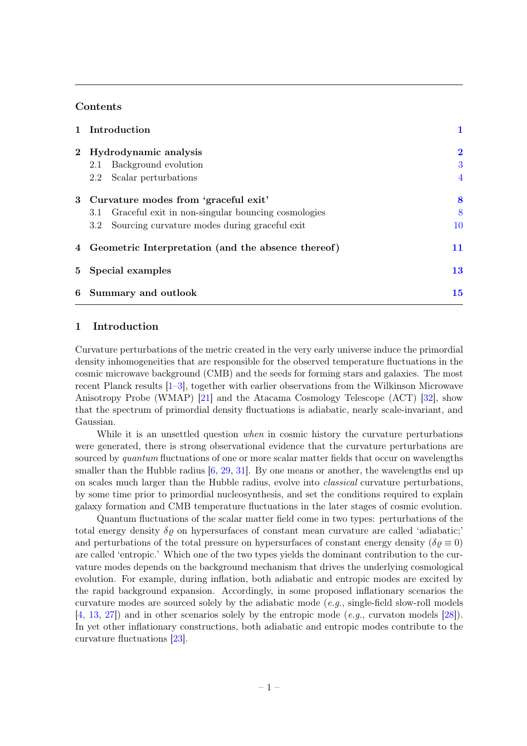### Contents

|             | 1 Introduction                                            |                |
|-------------|-----------------------------------------------------------|----------------|
| $2^{\circ}$ | Hydrodynamic analysis                                     | $\bf{2}$       |
|             | Background evolution<br>2.1                               | 3              |
|             | Scalar perturbations<br>$2.2\phantom{0}$                  | $\overline{4}$ |
|             | 3 Curvature modes from 'graceful exit'                    | 8              |
|             | Graceful exit in non-singular bouncing cosmologies<br>3.1 | 8              |
|             | Sourcing curvature modes during graceful exit<br>$3.2\,$  | 10             |
|             | 4 Geometric Interpretation (and the absence thereof)      | 11             |
|             | 5 Special examples                                        | 13             |
|             | 6 Summary and outlook                                     | 15             |
|             |                                                           |                |

## <span id="page-1-0"></span>1 Introduction

Curvature perturbations of the metric created in the very early universe induce the primordial density inhomogeneities that are responsible for the observed temperature fluctuations in the cosmic microwave background (CMB) and the seeds for forming stars and galaxies. The most recent Planck results [\[1](#page-16-0)[–3\]](#page-16-1), together with earlier observations from the Wilkinson Microwave Anisotropy Probe (WMAP) [\[21\]](#page-17-0) and the Atacama Cosmology Telescope (ACT) [\[32\]](#page-17-1), show that the spectrum of primordial density fluctuations is adiabatic, nearly scale-invariant, and Gaussian.

While it is an unsettled question *when* in cosmic history the curvature perturbations were generated, there is strong observational evidence that the curvature perturbations are sourced by *quantum* fluctuations of one or more scalar matter fields that occur on wavelengths smaller than the Hubble radius  $[6, 29, 31]$  $[6, 29, 31]$  $[6, 29, 31]$  $[6, 29, 31]$  $[6, 29, 31]$ . By one means or another, the wavelengths end up on scales much larger than the Hubble radius, evolve into classical curvature perturbations, by some time prior to primordial nucleosynthesis, and set the conditions required to explain galaxy formation and CMB temperature fluctuations in the later stages of cosmic evolution.

Quantum fluctuations of the scalar matter field come in two types: perturbations of the total energy density  $\delta \rho$  on hypersurfaces of constant mean curvature are called 'adiabatic;' and perturbations of the total pressure on hypersurfaces of constant energy density ( $\delta \rho \equiv 0$ ) are called 'entropic.' Which one of the two types yields the dominant contribution to the curvature modes depends on the background mechanism that drives the underlying cosmological evolution. For example, during inflation, both adiabatic and entropic modes are excited by the rapid background expansion. Accordingly, in some proposed inflationary scenarios the curvature modes are sourced solely by the adiabatic mode  $(e,q)$ , single-field slow-roll models [\[4,](#page-16-3) [13,](#page-16-4) [27\]](#page-17-4)) and in other scenarios solely by the entropic mode (e.g., curvaton models [\[28\]](#page-17-5)). In yet other inflationary constructions, both adiabatic and entropic modes contribute to the curvature fluctuations [\[23\]](#page-17-6).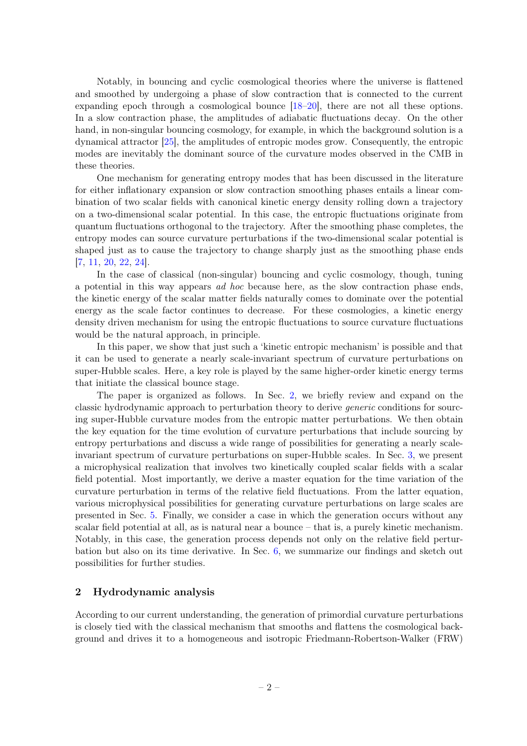Notably, in bouncing and cyclic cosmological theories where the universe is flattened and smoothed by undergoing a phase of slow contraction that is connected to the current expanding epoch through a cosmological bounce [\[18–](#page-16-5)[20\]](#page-17-7), there are not all these options. In a slow contraction phase, the amplitudes of adiabatic fluctuations decay. On the other hand, in non-singular bouncing cosmology, for example, in which the background solution is a dynamical attractor [\[25\]](#page-17-8), the amplitudes of entropic modes grow. Consequently, the entropic modes are inevitably the dominant source of the curvature modes observed in the CMB in these theories.

One mechanism for generating entropy modes that has been discussed in the literature for either inflationary expansion or slow contraction smoothing phases entails a linear combination of two scalar fields with canonical kinetic energy density rolling down a trajectory on a two-dimensional scalar potential. In this case, the entropic fluctuations originate from quantum fluctuations orthogonal to the trajectory. After the smoothing phase completes, the entropy modes can source curvature perturbations if the two-dimensional scalar potential is shaped just as to cause the trajectory to change sharply just as the smoothing phase ends [\[7,](#page-16-6) [11,](#page-16-7) [20,](#page-17-7) [22,](#page-17-9) [24\]](#page-17-10).

In the case of classical (non-singular) bouncing and cyclic cosmology, though, tuning a potential in this way appears ad hoc because here, as the slow contraction phase ends, the kinetic energy of the scalar matter fields naturally comes to dominate over the potential energy as the scale factor continues to decrease. For these cosmologies, a kinetic energy density driven mechanism for using the entropic fluctuations to source curvature fluctuations would be the natural approach, in principle.

In this paper, we show that just such a 'kinetic entropic mechanism' is possible and that it can be used to generate a nearly scale-invariant spectrum of curvature perturbations on super-Hubble scales. Here, a key role is played by the same higher-order kinetic energy terms that initiate the classical bounce stage.

The paper is organized as follows. In Sec. [2,](#page-2-0) we briefly review and expand on the classic hydrodynamic approach to perturbation theory to derive generic conditions for sourcing super-Hubble curvature modes from the entropic matter perturbations. We then obtain the key equation for the time evolution of curvature perturbations that include sourcing by entropy perturbations and discuss a wide range of possibilities for generating a nearly scaleinvariant spectrum of curvature perturbations on super-Hubble scales. In Sec. [3,](#page-8-0) we present a microphysical realization that involves two kinetically coupled scalar fields with a scalar field potential. Most importantly, we derive a master equation for the time variation of the curvature perturbation in terms of the relative field fluctuations. From the latter equation, various microphysical possibilities for generating curvature perturbations on large scales are presented in Sec. [5.](#page-13-0) Finally, we consider a case in which the generation occurs without any scalar field potential at all, as is natural near a bounce – that is, a purely kinetic mechanism. Notably, in this case, the generation process depends not only on the relative field perturbation but also on its time derivative. In Sec. [6,](#page-15-0) we summarize our findings and sketch out possibilities for further studies.

#### <span id="page-2-0"></span>2 Hydrodynamic analysis

According to our current understanding, the generation of primordial curvature perturbations is closely tied with the classical mechanism that smooths and flattens the cosmological background and drives it to a homogeneous and isotropic Friedmann-Robertson-Walker (FRW)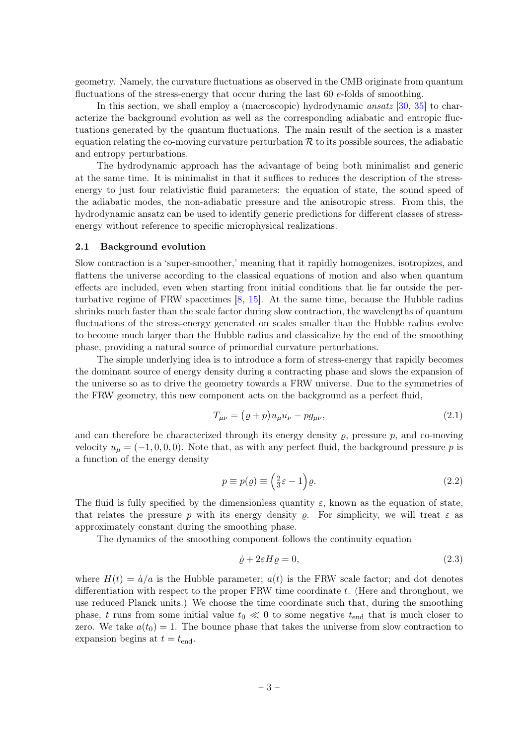geometry. Namely, the curvature fluctuations as observed in the CMB originate from quantum fluctuations of the stress-energy that occur during the last 60 e-folds of smoothing.

In this section, we shall employ a (macroscopic) hydrodynamic ansatz [\[30,](#page-17-11) [35\]](#page-17-12) to characterize the background evolution as well as the corresponding adiabatic and entropic fluctuations generated by the quantum fluctuations. The main result of the section is a master equation relating the co-moving curvature perturbation  $R$  to its possible sources, the adiabatic and entropy perturbations.

The hydrodynamic approach has the advantage of being both minimalist and generic at the same time. It is minimalist in that it suffices to reduces the description of the stressenergy to just four relativistic fluid parameters: the equation of state, the sound speed of the adiabatic modes, the non-adiabatic pressure and the anisotropic stress. From this, the hydrodynamic ansatz can be used to identify generic predictions for different classes of stressenergy without reference to specific microphysical realizations.

#### <span id="page-3-0"></span>2.1 Background evolution

Slow contraction is a 'super-smoother,' meaning that it rapidly homogenizes, isotropizes, and flattens the universe according to the classical equations of motion and also when quantum effects are included, even when starting from initial conditions that lie far outside the perturbative regime of FRW spacetimes [\[8,](#page-16-8) [15\]](#page-16-9). At the same time, because the Hubble radius shrinks much faster than the scale factor during slow contraction, the wavelengths of quantum fluctuations of the stress-energy generated on scales smaller than the Hubble radius evolve to become much larger than the Hubble radius and classicalize by the end of the smoothing phase, providing a natural source of primordial curvature perturbations.

The simple underlying idea is to introduce a form of stress-energy that rapidly becomes the dominant source of energy density during a contracting phase and slows the expansion of the universe so as to drive the geometry towards a FRW universe. Due to the symmetries of the FRW geometry, this new component acts on the background as a perfect fluid,

$$
T_{\mu\nu} = (\varrho + p)u_{\mu}u_{\nu} - pg_{\mu\nu},\tag{2.1}
$$

and can therefore be characterized through its energy density  $\rho$ , pressure  $p$ , and co-moving velocity  $u_{\mu} = (-1, 0, 0, 0)$ . Note that, as with any perfect fluid, the background pressure p is a function of the energy density

$$
p \equiv p(\varrho) \equiv \left(\frac{2}{3}\varepsilon - 1\right)\varrho. \tag{2.2}
$$

The fluid is fully specified by the dimensionless quantity  $\varepsilon$ , known as the equation of state, that relates the pressure p with its energy density  $\rho$ . For simplicity, we will treat  $\varepsilon$  as approximately constant during the smoothing phase.

The dynamics of the smoothing component follows the continuity equation

<span id="page-3-1"></span>
$$
\dot{\varrho} + 2\varepsilon H \varrho = 0,\tag{2.3}
$$

where  $H(t) = \dot{a}/a$  is the Hubble parameter;  $a(t)$  is the FRW scale factor; and dot denotes differentiation with respect to the proper FRW time coordinate t. (Here and throughout, we use reduced Planck units.) We choose the time coordinate such that, during the smoothing phase, t runs from some initial value  $t_0 \ll 0$  to some negative  $t_{\text{end}}$  that is much closer to zero. We take  $a(t_0) = 1$ . The bounce phase that takes the universe from slow contraction to expansion begins at  $t = t_{end}$ .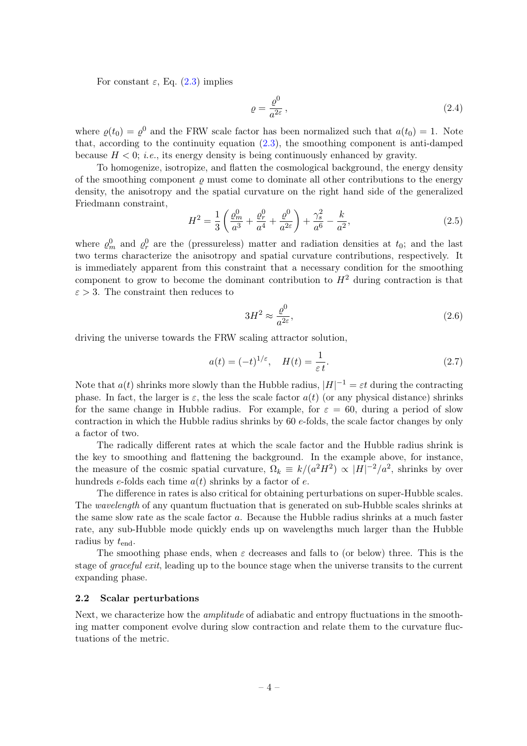For constant  $\varepsilon$ , Eq. [\(2.3\)](#page-3-1) implies

$$
\varrho = \frac{\varrho^0}{a^{2\varepsilon}},\tag{2.4}
$$

where  $\varrho(t_0) = \varrho^0$  and the FRW scale factor has been normalized such that  $a(t_0) = 1$ . Note that, according to the continuity equation [\(2.3\)](#page-3-1), the smoothing component is anti-damped because  $H < 0$ ; *i.e.*, its energy density is being continuously enhanced by gravity.

To homogenize, isotropize, and flatten the cosmological background, the energy density of the smoothing component  $\rho$  must come to dominate all other contributions to the energy density, the anisotropy and the spatial curvature on the right hand side of the generalized Friedmann constraint,

$$
H^{2} = \frac{1}{3} \left( \frac{\varrho_{m}^{0}}{a^{3}} + \frac{\varrho_{r}^{0}}{a^{4}} + \frac{\varrho^{0}}{a^{2\varepsilon}} \right) + \frac{\gamma_{s}^{2}}{a^{6}} - \frac{k}{a^{2}},
$$
\n(2.5)

where  $\varrho_m^0$  and  $\varrho_r^0$  are the (pressureless) matter and radiation densities at  $t_0$ ; and the last two terms characterize the anisotropy and spatial curvature contributions, respectively. It is immediately apparent from this constraint that a necessary condition for the smoothing component to grow to become the dominant contribution to  $H<sup>2</sup>$  during contraction is that  $\varepsilon > 3$ . The constraint then reduces to

$$
3H^2 \approx \frac{\varrho^0}{a^{2\varepsilon}},\tag{2.6}
$$

driving the universe towards the FRW scaling attractor solution,

<span id="page-4-1"></span>
$$
a(t) = (-t)^{1/\varepsilon}, \quad H(t) = \frac{1}{\varepsilon t}.
$$
\n(2.7)

Note that  $a(t)$  shrinks more slowly than the Hubble radius,  $|H|^{-1} = \varepsilon t$  during the contracting phase. In fact, the larger is  $\varepsilon$ , the less the scale factor  $a(t)$  (or any physical distance) shrinks for the same change in Hubble radius. For example, for  $\varepsilon = 60$ , during a period of slow contraction in which the Hubble radius shrinks by  $60 e$ -folds, the scale factor changes by only a factor of two.

The radically different rates at which the scale factor and the Hubble radius shrink is the key to smoothing and flattening the background. In the example above, for instance, the measure of the cosmic spatial curvature,  $\Omega_k \equiv k/(a^2H^2) \propto |H|^{-2}/a^2$ , shrinks by over hundreds e-folds each time  $a(t)$  shrinks by a factor of e.

The difference in rates is also critical for obtaining perturbations on super-Hubble scales. The wavelength of any quantum fluctuation that is generated on sub-Hubble scales shrinks at the same slow rate as the scale factor a. Because the Hubble radius shrinks at a much faster rate, any sub-Hubble mode quickly ends up on wavelengths much larger than the Hubble radius by  $t_{\text{end}}$ .

The smoothing phase ends, when  $\varepsilon$  decreases and falls to (or below) three. This is the stage of graceful exit, leading up to the bounce stage when the universe transits to the current expanding phase.

#### <span id="page-4-0"></span>2.2 Scalar perturbations

Next, we characterize how the *amplitude* of adiabatic and entropy fluctuations in the smoothing matter component evolve during slow contraction and relate them to the curvature fluctuations of the metric.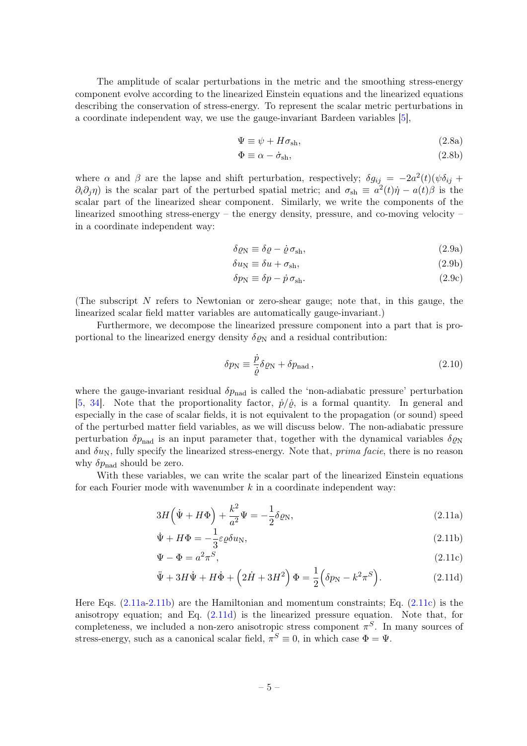The amplitude of scalar perturbations in the metric and the smoothing stress-energy component evolve according to the linearized Einstein equations and the linearized equations describing the conservation of stress-energy. To represent the scalar metric perturbations in a coordinate independent way, we use the gauge-invariant Bardeen variables [\[5\]](#page-16-10),

$$
\Psi \equiv \psi + H\sigma_{\rm sh},\tag{2.8a}
$$

$$
\Phi \equiv \alpha - \dot{\sigma}_{\rm sh},\tag{2.8b}
$$

where  $\alpha$  and  $\beta$  are the lapse and shift perturbation, respectively;  $\delta g_{ij} = -2a^2(t)(\psi \delta_{ij} +$  $\partial_i \partial_j \eta$ ) is the scalar part of the perturbed spatial metric; and  $\sigma_{sh} \equiv a^2(t)\dot{\eta} - a(t)\beta$  is the scalar part of the linearized shear component. Similarly, we write the components of the linearized smoothing stress-energy – the energy density, pressure, and co-moving velocity – in a coordinate independent way:

$$
\delta \varrho_{\rm N} \equiv \delta \varrho - \dot{\varrho} \,\sigma_{\rm sh},\tag{2.9a}
$$

$$
\delta u_{\rm N} \equiv \delta u + \sigma_{\rm sh},\tag{2.9b}
$$

$$
\delta p_{\rm N} \equiv \delta p - \dot{p} \,\sigma_{\rm sh}.\tag{2.9c}
$$

(The subscript  $N$  refers to Newtonian or zero-shear gauge; note that, in this gauge, the linearized scalar field matter variables are automatically gauge-invariant.)

Furthermore, we decompose the linearized pressure component into a part that is proportional to the linearized energy density  $\delta \varrho_N$  and a residual contribution:

<span id="page-5-4"></span><span id="page-5-1"></span><span id="page-5-0"></span>
$$
\delta p_{\rm N} \equiv \frac{\dot{p}}{\dot{\varrho}} \delta \varrho_{\rm N} + \delta p_{\rm nad} \,, \tag{2.10}
$$

where the gauge-invariant residual  $\delta p_{\text{nad}}$  is called the 'non-adiabatic pressure' perturbation [\[5,](#page-16-10) [34\]](#page-17-13). Note that the proportionality factor,  $\dot{p}/\dot{\rho}$ , is a formal quantity. In general and especially in the case of scalar fields, it is not equivalent to the propagation (or sound) speed of the perturbed matter field variables, as we will discuss below. The non-adiabatic pressure perturbation  $\delta p_{\text{nad}}$  is an input parameter that, together with the dynamical variables  $\delta \varrho_N$ and  $\delta u_N$ , fully specify the linearized stress-energy. Note that, *prima facie*, there is no reason why  $\delta p_{\rm nad}$  should be zero.

With these variables, we can write the scalar part of the linearized Einstein equations for each Fourier mode with wavenumber  $k$  in a coordinate independent way:

$$
3H\left(\dot{\Psi} + H\Phi\right) + \frac{k^2}{a^2}\Psi = -\frac{1}{2}\delta\varrho_N,\tag{2.11a}
$$

$$
\dot{\Psi} + H\Phi = -\frac{1}{3}\varepsilon \varrho \delta u_{\rm N},\tag{2.11b}
$$

<span id="page-5-2"></span>
$$
\Psi - \Phi = a^2 \pi^S,\tag{2.11c}
$$

<span id="page-5-3"></span>
$$
\ddot{\Psi} + 3H\dot{\Psi} + H\dot{\Phi} + \left(2\dot{H} + 3H^2\right)\Phi = \frac{1}{2}\left(\delta p_N - k^2\pi^S\right). \tag{2.11d}
$$

Here Eqs. [\(2.11a](#page-5-0)[-2.11b\)](#page-5-1) are the Hamiltonian and momentum constraints; Eq. [\(2.11c\)](#page-5-2) is the anisotropy equation; and Eq. [\(2.11d\)](#page-5-3) is the linearized pressure equation. Note that, for completeness, we included a non-zero anisotropic stress component  $\pi^S$ . In many sources of stress-energy, such as a canonical scalar field,  $\pi^S \equiv 0$ , in which case  $\Phi = \Psi$ .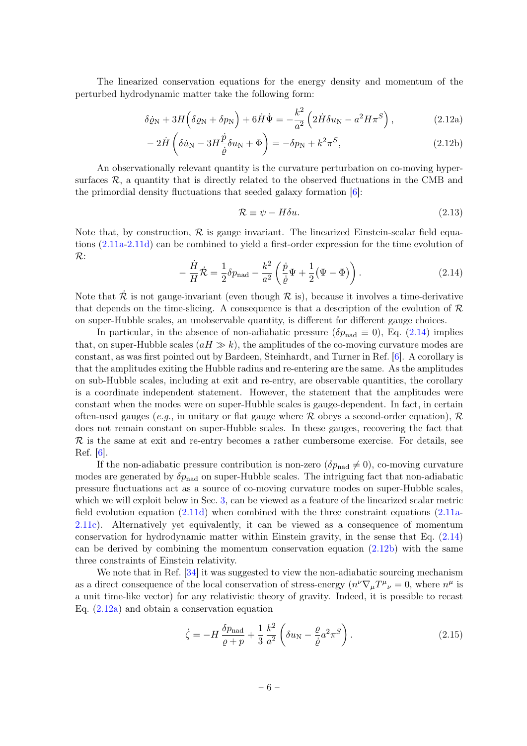The linearized conservation equations for the energy density and momentum of the perturbed hydrodynamic matter take the following form:

$$
\delta\dot{\varrho}_{\rm N} + 3H\left(\delta\varrho_{\rm N} + \delta p_{\rm N}\right) + 6\dot{H}\dot{\Psi} = -\frac{k^2}{a^2} \left(2\dot{H}\delta u_{\rm N} - a^2 H \pi^S\right),\tag{2.12a}
$$

$$
-2\dot{H}\left(\delta\dot{u}_{\rm N} - 3H\frac{\dot{p}}{\dot{\rho}}\delta u_{\rm N} + \Phi\right) = -\delta p_{\rm N} + k^2 \pi^S,\tag{2.12b}
$$

An observationally relevant quantity is the curvature perturbation on co-moving hypersurfaces  $\mathcal{R}$ , a quantity that is directly related to the observed fluctuations in the CMB and the primordial density fluctuations that seeded galaxy formation [\[6\]](#page-16-2):

<span id="page-6-2"></span><span id="page-6-1"></span>
$$
\mathcal{R} \equiv \psi - H \delta u. \tag{2.13}
$$

Note that, by construction,  $\mathcal R$  is gauge invariant. The linearized Einstein-scalar field equations [\(2.11a-](#page-5-0)[2.11d\)](#page-5-3) can be combined to yield a first-order expression for the time evolution of R:

<span id="page-6-0"></span>
$$
-\frac{\dot{H}}{H}\dot{\mathcal{R}} = \frac{1}{2}\delta p_{\text{nad}} - \frac{k^2}{a^2} \left(\frac{\dot{p}}{\dot{\varrho}}\Psi + \frac{1}{2}(\Psi - \Phi)\right). \tag{2.14}
$$

Note that  $\dot{\mathcal{R}}$  is not gauge-invariant (even though  $\mathcal R$  is), because it involves a time-derivative that depends on the time-slicing. A consequence is that a description of the evolution of  $\mathcal R$ on super-Hubble scales, an unobservable quantity, is different for different gauge choices.

In particular, in the absence of non-adiabatic pressure ( $\delta p_{\text{nad}} \equiv 0$ ), Eq. [\(2.14\)](#page-6-0) implies that, on super-Hubble scales  $(aH \gg k)$ , the amplitudes of the co-moving curvature modes are constant, as was first pointed out by Bardeen, Steinhardt, and Turner in Ref. [\[6\]](#page-16-2). A corollary is that the amplitudes exiting the Hubble radius and re-entering are the same. As the amplitudes on sub-Hubble scales, including at exit and re-entry, are observable quantities, the corollary is a coordinate independent statement. However, the statement that the amplitudes were constant when the modes were on super-Hubble scales is gauge-dependent. In fact, in certain often-used gauges (e.g., in unitary or flat gauge where  $R$  obeys a second-order equation),  $R$ does not remain constant on super-Hubble scales. In these gauges, recovering the fact that  $\mathcal R$  is the same at exit and re-entry becomes a rather cumbersome exercise. For details, see Ref. [\[6\]](#page-16-2).

If the non-adiabatic pressure contribution is non-zero  $(\delta p_{\text{nad}} \neq 0)$ , co-moving curvature modes are generated by  $\delta p_{\text{nad}}$  on super-Hubble scales. The intriguing fact that non-adiabatic pressure fluctuations act as a source of co-moving curvature modes on super-Hubble scales, which we will exploit below in Sec. [3,](#page-8-0) can be viewed as a feature of the linearized scalar metric field evolution equation  $(2.11d)$  when combined with the three constraint equations  $(2.11a$ -[2.11c\)](#page-5-2). Alternatively yet equivalently, it can be viewed as a consequence of momentum conservation for hydrodynamic matter within Einstein gravity, in the sense that Eq. [\(2.14\)](#page-6-0) can be derived by combining the momentum conservation equation  $(2.12b)$  with the same three constraints of Einstein relativity.

We note that in Ref. [\[34\]](#page-17-13) it was suggested to view the non-adiabatic sourcing mechanism as a direct consequence of the local conservation of stress-energy  $(n^{\nu}\nabla_{\mu}T^{\mu}{}_{\nu}=0)$ , where  $n^{\mu}$  is a unit time-like vector) for any relativistic theory of gravity. Indeed, it is possible to recast Eq. [\(2.12a\)](#page-6-2) and obtain a conservation equation

$$
\dot{\zeta} = -H \frac{\delta p_{\text{nad}}}{\varrho + p} + \frac{1}{3} \frac{k^2}{a^2} \left( \delta u_N - \frac{\varrho}{\dot{\varrho}} a^2 \pi^S \right). \tag{2.15}
$$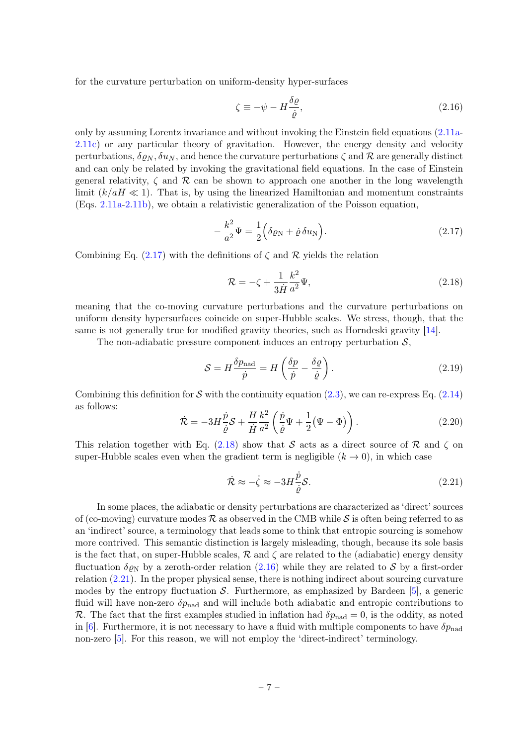for the curvature perturbation on uniform-density hyper-surfaces

<span id="page-7-2"></span>
$$
\zeta \equiv -\psi - H \frac{\delta \varrho}{\dot{\varrho}},\tag{2.16}
$$

only by assuming Lorentz invariance and without invoking the Einstein field equations [\(2.11a-](#page-5-0)[2.11c\)](#page-5-2) or any particular theory of gravitation. However, the energy density and velocity perturbations,  $\delta \varrho_N$ ,  $\delta u_N$ , and hence the curvature perturbations  $\zeta$  and  $\mathcal R$  are generally distinct and can only be related by invoking the gravitational field equations. In the case of Einstein general relativity,  $\zeta$  and  $\mathcal R$  can be shown to approach one another in the long wavelength limit  $(k/aH \ll 1)$ . That is, by using the linearized Hamiltonian and momentum constraints (Eqs. [2.11a-](#page-5-0)[2.11b\)](#page-5-1), we obtain a relativistic generalization of the Poisson equation,

<span id="page-7-0"></span>
$$
-\frac{k^2}{a^2}\Psi = \frac{1}{2}\Big(\delta\varrho_N + \dot{\varrho}\,\delta u_N\Big). \tag{2.17}
$$

Combining Eq.  $(2.17)$  with the definitions of  $\zeta$  and  $\mathcal R$  yields the relation

<span id="page-7-1"></span>
$$
\mathcal{R} = -\zeta + \frac{1}{3\dot{H}}\frac{k^2}{a^2}\Psi,
$$
\n(2.18)

meaning that the co-moving curvature perturbations and the curvature perturbations on uniform density hypersurfaces coincide on super-Hubble scales. We stress, though, that the same is not generally true for modified gravity theories, such as Horndeski gravity [\[14\]](#page-16-11).

The non-adiabatic pressure component induces an entropy perturbation  $S$ ,

<span id="page-7-5"></span>
$$
S = H \frac{\delta p_{\text{nad}}}{\dot{p}} = H \left( \frac{\delta p}{\dot{p}} - \frac{\delta \varrho}{\dot{\varrho}} \right). \tag{2.19}
$$

Combining this definition for S with the continuity equation [\(2.3\)](#page-3-1), we can re-express Eq. [\(2.14\)](#page-6-0) as follows:

<span id="page-7-4"></span>
$$
\dot{\mathcal{R}} = -3H \frac{\dot{p}}{\dot{\varrho}} \mathcal{S} + \frac{H}{\dot{H}} \frac{k^2}{a^2} \left( \frac{\dot{p}}{\dot{\varrho}} \Psi + \frac{1}{2} (\Psi - \Phi) \right). \tag{2.20}
$$

This relation together with Eq. [\(2.18\)](#page-7-1) show that S acts as a direct source of R and  $\zeta$  on super-Hubble scales even when the gradient term is negligible  $(k \rightarrow 0)$ , in which case

<span id="page-7-3"></span>
$$
\dot{\mathcal{R}} \approx -\dot{\zeta} \approx -3H \frac{\dot{p}}{\dot{\varrho}} \mathcal{S}.
$$
\n(2.21)

In some places, the adiabatic or density perturbations are characterized as 'direct' sources of (co-moving) curvature modes  $\mathcal R$  as observed in the CMB while S is often being referred to as an 'indirect' source, a terminology that leads some to think that entropic sourcing is somehow more contrived. This semantic distinction is largely misleading, though, because its sole basis is the fact that, on super-Hubble scales,  $\mathcal R$  and  $\zeta$  are related to the (adiabatic) energy density fluctuation  $\delta \rho_N$  by a zeroth-order relation [\(2.16\)](#page-7-2) while they are related to S by a first-order relation  $(2.21)$ . In the proper physical sense, there is nothing indirect about sourcing curvature modes by the entropy fluctuation  $\mathcal{S}$ . Furthermore, as emphasized by Bardeen [\[5\]](#page-16-10), a generic fluid will have non-zero  $\delta p_{\text{nad}}$  and will include both adiabatic and entropic contributions to R. The fact that the first examples studied in inflation had  $\delta p_{\text{nad}} = 0$ , is the oddity, as noted in [\[6\]](#page-16-2). Furthermore, it is not necessary to have a fluid with multiple components to have  $\delta p_{\text{nad}}$ non-zero [\[5\]](#page-16-10). For this reason, we will not employ the 'direct-indirect' terminology.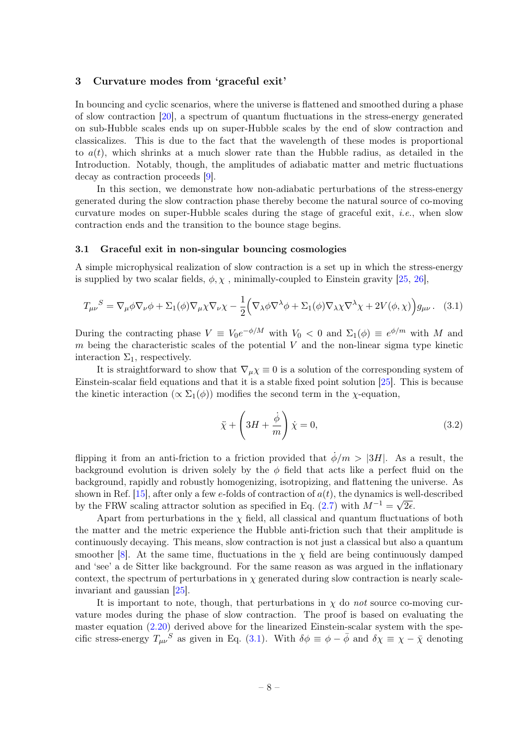#### <span id="page-8-0"></span>3 Curvature modes from 'graceful exit'

In bouncing and cyclic scenarios, where the universe is flattened and smoothed during a phase of slow contraction [\[20\]](#page-17-7), a spectrum of quantum fluctuations in the stress-energy generated on sub-Hubble scales ends up on super-Hubble scales by the end of slow contraction and classicalizes. This is due to the fact that the wavelength of these modes is proportional to  $a(t)$ , which shrinks at a much slower rate than the Hubble radius, as detailed in the Introduction. Notably, though, the amplitudes of adiabatic matter and metric fluctuations decay as contraction proceeds [\[9\]](#page-16-12).

In this section, we demonstrate how non-adiabatic perturbations of the stress-energy generated during the slow contraction phase thereby become the natural source of co-moving curvature modes on super-Hubble scales during the stage of graceful exit, *i.e.*, when slow contraction ends and the transition to the bounce stage begins.

#### <span id="page-8-1"></span>3.1 Graceful exit in non-singular bouncing cosmologies

A simple microphysical realization of slow contraction is a set up in which the stress-energy is supplied by two scalar fields,  $\phi$ ,  $\chi$ , minimally-coupled to Einstein gravity [\[25,](#page-17-8) [26\]](#page-17-14),

<span id="page-8-2"></span>
$$
T_{\mu\nu}{}^S = \nabla_{\mu}\phi\nabla_{\nu}\phi + \Sigma_1(\phi)\nabla_{\mu}\chi\nabla_{\nu}\chi - \frac{1}{2} \Big(\nabla_{\lambda}\phi\nabla^{\lambda}\phi + \Sigma_1(\phi)\nabla_{\lambda}\chi\nabla^{\lambda}\chi + 2V(\phi,\chi)\Big)g_{\mu\nu}.
$$
 (3.1)

During the contracting phase  $V \equiv V_0 e^{-\phi/M}$  with  $V_0 < 0$  and  $\Sigma_1(\phi) \equiv e^{\phi/m}$  with M and  $m$  being the characteristic scales of the potential  $V$  and the non-linear sigma type kinetic interaction  $\Sigma_1$ , respectively.

It is straightforward to show that  $\nabla_{\mu} \chi \equiv 0$  is a solution of the corresponding system of Einstein-scalar field equations and that it is a stable fixed point solution [\[25\]](#page-17-8). This is because the kinetic interaction ( $\propto \Sigma_1(\phi)$ ) modifies the second term in the *χ*-equation,

$$
\ddot{\chi} + \left(3H + \frac{\dot{\phi}}{m}\right)\dot{\chi} = 0,\tag{3.2}
$$

flipping it from an anti-friction to a friction provided that  $\dot{\phi}/m > |3H|$ . As a result, the background evolution is driven solely by the  $\phi$  field that acts like a perfect fluid on the background, rapidly and robustly homogenizing, isotropizing, and flattening the universe. As shown in Ref. [\[15\]](#page-16-9), after only a few e-folds of contraction of  $a(t)$ , the dynamics is well-described by the FRW scaling attractor solution as specified in Eq. [\(2.7\)](#page-4-1) with  $M^{-1} = \sqrt{2\epsilon}$ .

Apart from perturbations in the  $\chi$  field, all classical and quantum fluctuations of both the matter and the metric experience the Hubble anti-friction such that their amplitude is continuously decaying. This means, slow contraction is not just a classical but also a quantum smoother [\[8\]](#page-16-8). At the same time, fluctuations in the  $\chi$  field are being continuously damped and 'see' a de Sitter like background. For the same reason as was argued in the inflationary context, the spectrum of perturbations in  $\chi$  generated during slow contraction is nearly scaleinvariant and gaussian [\[25\]](#page-17-8).

It is important to note, though, that perturbations in  $\chi$  do not source co-moving curvature modes during the phase of slow contraction. The proof is based on evaluating the master equation  $(2.20)$  derived above for the linearized Einstein-scalar system with the specific stress-energy  $T_{\mu\nu}^{\phantom{\mu\nu}\hat{\phantom{\mu}}\hat{S}}$  as given in Eq. [\(3.1\)](#page-8-2). With  $\delta\phi \equiv \phi - \bar{\phi}$  and  $\delta\chi \equiv \chi - \bar{\chi}$  denoting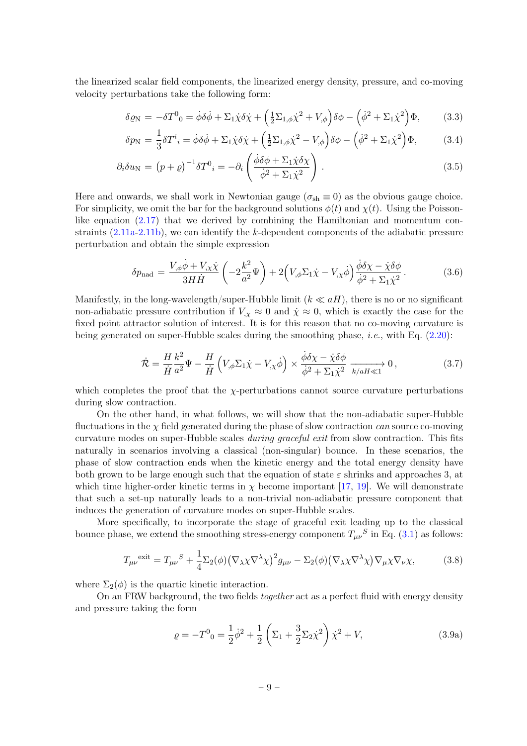the linearized scalar field components, the linearized energy density, pressure, and co-moving velocity perturbations take the following form:

$$
\delta \varrho_{\rm N} = -\delta T^0{}_0 = \dot{\phi}\delta\dot{\phi} + \Sigma_1 \dot{\chi}\delta\dot{\chi} + \left(\frac{1}{2}\Sigma_{1,\phi}\dot{\chi}^2 + V_{,\phi}\right)\delta\phi - \left(\dot{\phi}^2 + \Sigma_1\dot{\chi}^2\right)\Phi,\tag{3.3}
$$

$$
\delta p_{\rm N} = \frac{1}{3} \delta T^i{}_i = \dot{\phi} \delta \dot{\phi} + \Sigma_1 \dot{\chi} \delta \dot{\chi} + \left(\frac{1}{2} \Sigma_{1,\phi} \dot{\chi}^2 - V_{,\phi}\right) \delta \phi - \left(\dot{\phi}^2 + \Sigma_1 \dot{\chi}^2\right) \Phi,\tag{3.4}
$$

$$
\partial_i \delta u_N = (p+\varrho)^{-1} \delta T^0_i = -\partial_i \left( \frac{\dot{\phi} \delta \phi + \Sigma_1 \dot{\chi} \delta \chi}{\dot{\phi}^2 + \Sigma_1 \dot{\chi}^2} \right). \tag{3.5}
$$

Here and onwards, we shall work in Newtonian gauge  $(\sigma_{sh} \equiv 0)$  as the obvious gauge choice. For simplicity, we omit the bar for the background solutions  $\phi(t)$  and  $\chi(t)$ . Using the Poissonlike equation  $(2.17)$  that we derived by combining the Hamiltonian and momentum constraints  $(2.11a-2.11b)$  $(2.11a-2.11b)$ , we can identify the k-dependent components of the adiabatic pressure perturbation and obtain the simple expression

<span id="page-9-1"></span>
$$
\delta p_{\text{nad}} = \frac{V_{,\phi}\dot{\phi} + V_{,\chi}\dot{\chi}}{3H\dot{H}} \left(-2\frac{k^2}{a^2}\Psi\right) + 2\left(V_{,\phi}\Sigma_1\dot{\chi} - V_{,\chi}\dot{\phi}\right)\frac{\dot{\phi}\delta\chi - \dot{\chi}\delta\phi}{\dot{\phi}^2 + \Sigma_1\dot{\chi}^2}.
$$
 (3.6)

Manifestly, in the long-wavelength/super-Hubble limit  $(k \ll aH)$ , there is no or no significant non-adiabatic pressure contribution if  $V_{,\chi} \approx 0$  and  $\dot{\chi} \approx 0$ , which is exactly the case for the fixed point attractor solution of interest. It is for this reason that no co-moving curvature is being generated on super-Hubble scales during the smoothing phase, i.e., with Eq. [\(2.20\)](#page-7-4):

<span id="page-9-2"></span>
$$
\dot{\mathcal{R}} = \frac{H}{\dot{H}} \frac{k^2}{a^2} \Psi - \frac{H}{\dot{H}} \left( V_{,\phi} \Sigma_1 \dot{\chi} - V_{,\chi} \dot{\phi} \right) \times \frac{\dot{\phi} \delta \chi - \dot{\chi} \delta \phi}{\dot{\phi}^2 + \Sigma_1 \dot{\chi}^2} \xrightarrow[k/aH \ll 1]{} 0, \tag{3.7}
$$

which completes the proof that the  $\chi$ -perturbations cannot source curvature perturbations during slow contraction.

On the other hand, in what follows, we will show that the non-adiabatic super-Hubble fluctuations in the  $\chi$  field generated during the phase of slow contraction *can* source co-moving curvature modes on super-Hubble scales during graceful exit from slow contraction. This fits naturally in scenarios involving a classical (non-singular) bounce. In these scenarios, the phase of slow contraction ends when the kinetic energy and the total energy density have both grown to be large enough such that the equation of state  $\varepsilon$  shrinks and approaches 3, at which time higher-order kinetic terms in  $\chi$  become important [\[17,](#page-16-13) [19\]](#page-17-15). We will demonstrate that such a set-up naturally leads to a non-trivial non-adiabatic pressure component that induces the generation of curvature modes on super-Hubble scales.

More specifically, to incorporate the stage of graceful exit leading up to the classical bounce phase, we extend the smoothing stress-energy component  $T_{\mu\nu}{}^S$  in Eq. [\(3.1\)](#page-8-2) as follows:

<span id="page-9-0"></span>
$$
T_{\mu\nu}^{\text{exit}} = T_{\mu\nu}^{\text{S}} + \frac{1}{4} \Sigma_2(\phi) (\nabla_\lambda \chi \nabla^\lambda \chi)^2 g_{\mu\nu} - \Sigma_2(\phi) (\nabla_\lambda \chi \nabla^\lambda \chi) \nabla_\mu \chi \nabla_\nu \chi, \tag{3.8}
$$

where  $\Sigma_2(\phi)$  is the quartic kinetic interaction.

On an FRW background, the two fields together act as a perfect fluid with energy density and pressure taking the form

$$
\varrho = -T^0{}_0 = \frac{1}{2}\dot{\phi}^2 + \frac{1}{2}\left(\Sigma_1 + \frac{3}{2}\Sigma_2\dot{\chi}^2\right)\dot{\chi}^2 + V,\tag{3.9a}
$$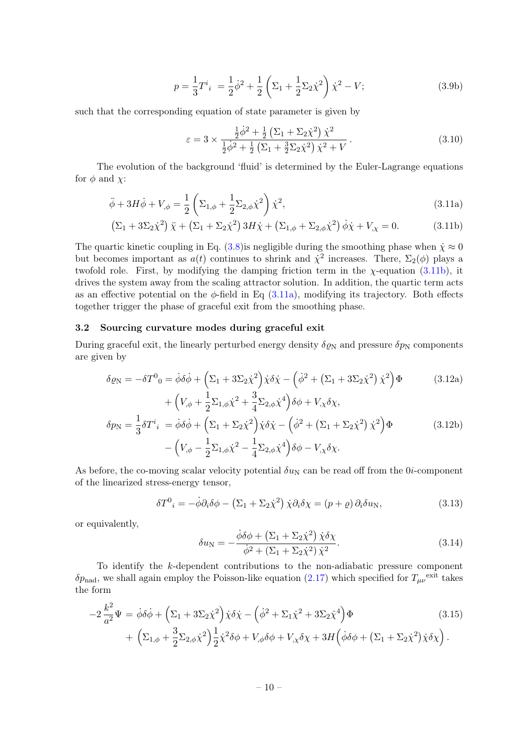$$
p = \frac{1}{3}T^i{}_i = \frac{1}{2}\dot{\phi}^2 + \frac{1}{2}\left(\Sigma_1 + \frac{1}{2}\Sigma_2\dot{\chi}^2\right)\dot{\chi}^2 - V;\tag{3.9b}
$$

such that the corresponding equation of state parameter is given by

<span id="page-10-2"></span><span id="page-10-1"></span>
$$
\varepsilon = 3 \times \frac{\frac{1}{2}\dot{\phi}^2 + \frac{1}{2}\left(\Sigma_1 + \Sigma_2\dot{\chi}^2\right)\dot{\chi}^2}{\frac{1}{2}\dot{\phi}^2 + \frac{1}{2}\left(\Sigma_1 + \frac{3}{2}\Sigma_2\dot{\chi}^2\right)\dot{\chi}^2 + V}.
$$
\n(3.10)

The evolution of the background 'fluid' is determined by the Euler-Lagrange equations for  $\phi$  and  $\chi$ :

$$
\ddot{\phi} + 3H\dot{\phi} + V_{,\phi} = \frac{1}{2} \left( \Sigma_{1,\phi} + \frac{1}{2} \Sigma_{2,\phi} \dot{\chi}^2 \right) \dot{\chi}^2, \tag{3.11a}
$$

$$
\left(\Sigma_1 + 3\Sigma_2\dot{\chi}^2\right)\ddot{\chi} + \left(\Sigma_1 + \Sigma_2\dot{\chi}^2\right)3H\dot{\chi} + \left(\Sigma_{1,\phi} + \Sigma_{2,\phi}\dot{\chi}^2\right)\dot{\phi}\dot{\chi} + V_{,\chi} = 0.
$$
 (3.11b)

The quartic kinetic coupling in Eq.  $(3.8)$  is negligible during the smoothing phase when  $\dot{\chi} \approx 0$ but becomes important as  $a(t)$  continues to shrink and  $\dot{\chi}^2$  increases. There,  $\Sigma_2(\phi)$  plays a twofold role. First, by modifying the damping friction term in the  $\chi$ -equation [\(3.11b\)](#page-10-1), it drives the system away from the scaling attractor solution. In addition, the quartic term acts as an effective potential on the  $\phi$ -field in Eq [\(3.11a\)](#page-10-2), modifying its trajectory. Both effects together trigger the phase of graceful exit from the smoothing phase.

#### <span id="page-10-0"></span>3.2 Sourcing curvature modes during graceful exit

During graceful exit, the linearly perturbed energy density  $\delta \varrho_N$  and pressure  $\delta p_N$  components are given by

$$
\delta \varrho_{\rm N} = -\delta T^0{}_0 = \dot{\phi}\delta\dot{\phi} + \left(\Sigma_1 + 3\Sigma_2\dot{\chi}^2\right)\dot{\chi}\delta\dot{\chi} - \left(\dot{\phi}^2 + \left(\Sigma_1 + 3\Sigma_2\dot{\chi}^2\right)\dot{\chi}^2\right)\Phi \tag{3.12a}
$$

$$
+\left(V_{,\phi} + \frac{1}{2}\Sigma_{1,\phi}\dot{\chi}^2 + \frac{3}{4}\Sigma_{2,\phi}\dot{\chi}^4\right)\delta\phi + V_{,\chi}\delta\chi,
$$
  
\n
$$
\delta p_{\rm N} = \frac{1}{3}\delta T^i{}_i = \dot{\phi}\delta\dot{\phi} + \left(\Sigma_1 + \Sigma_2\dot{\chi}^2\right)\dot{\chi}\delta\dot{\chi} - \left(\dot{\phi}^2 + \left(\Sigma_1 + \Sigma_2\dot{\chi}^2\right)\dot{\chi}^2\right)\Phi
$$
\n
$$
-\left(V_{,\phi} - \frac{1}{2}\Sigma_{1,\phi}\dot{\chi}^2 - \frac{1}{4}\Sigma_{2,\phi}\dot{\chi}^4\right)\delta\phi - V_{,\chi}\delta\chi.
$$
\n(3.12b)

As before, the co-moving scalar velocity potential  $\delta u_N$  can be read off from the 0*i*-component of the linearized stress-energy tensor,

$$
\delta T^0{}_i = -\dot{\phi}\partial_i \delta\phi - \left(\Sigma_1 + \Sigma_2 \dot{\chi}^2\right) \dot{\chi}\partial_i \delta\chi = (p+\varrho)\,\partial_i \delta u_N,\tag{3.13}
$$

or equivalently,

<span id="page-10-6"></span><span id="page-10-5"></span><span id="page-10-4"></span>
$$
\delta u_{\rm N} = -\frac{\dot{\phi}\delta\phi + \left(\Sigma_1 + \Sigma_2\dot{\chi}^2\right)\dot{\chi}\delta\chi}{\dot{\phi}^2 + \left(\Sigma_1 + \Sigma_2\dot{\chi}^2\right)\dot{\chi}^2}.\tag{3.14}
$$

To identify the k-dependent contributions to the non-adiabatic pressure component  $\delta p_{\text{nad}}$ , we shall again employ the Poisson-like equation [\(2.17\)](#page-7-0) which specified for  $T_{\mu\nu}$ <sup>exit</sup> takes the form

<span id="page-10-3"></span>
$$
-2\frac{k^2}{a^2}\Psi = \dot{\phi}\delta\dot{\phi} + \left(\Sigma_1 + 3\Sigma_2\dot{\chi}^2\right)\dot{\chi}\delta\dot{\chi} - \left(\dot{\phi}^2 + \Sigma_1\dot{\chi}^2 + 3\Sigma_2\dot{\chi}^4\right)\Phi
$$
\n
$$
+ \left(\Sigma_{1,\phi} + \frac{3}{2}\Sigma_{2,\phi}\dot{\chi}^2\right)\frac{1}{2}\dot{\chi}^2\delta\phi + V_{,\phi}\delta\phi + V_{,\chi}\delta\chi + 3H\left(\dot{\phi}\delta\phi + \left(\Sigma_1 + \Sigma_2\dot{\chi}^2\right)\dot{\chi}\delta\chi\right).
$$
\n(3.15)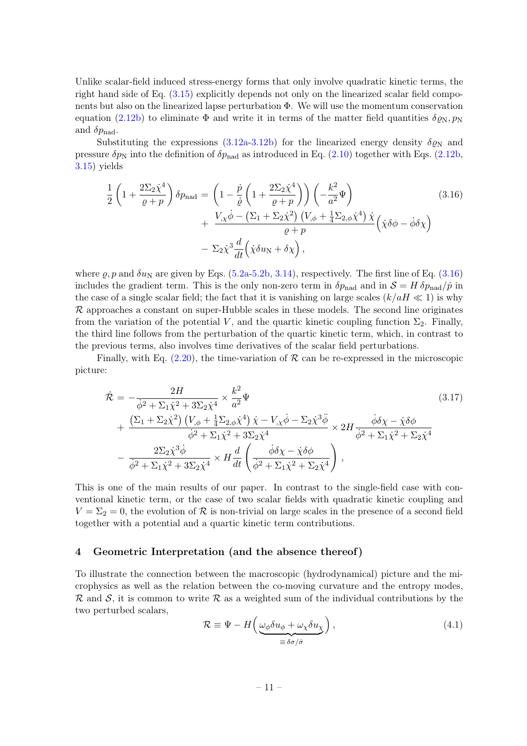Unlike scalar-field induced stress-energy forms that only involve quadratic kinetic terms, the right hand side of Eq.  $(3.15)$  explicitly depends not only on the linearized scalar field components but also on the linearized lapse perturbation Φ. We will use the momentum conservation equation [\(2.12b\)](#page-6-1) to eliminate  $\Phi$  and write it in terms of the matter field quantities  $\delta \varrho_N, \varrho_N$ and  $\delta p_{\rm nad}$ .

Substituting the expressions [\(3.12a](#page-10-4)[-3.12b\)](#page-10-5) for the linearized energy density  $\delta \varrho_N$  and pressure  $\delta p_N$  into the definition of  $\delta p_{\text{nad}}$  as introduced in Eq. [\(2.10\)](#page-5-4) together with Eqs. [\(2.12b,](#page-6-1) [3.15\)](#page-10-3) yields

<span id="page-11-1"></span>
$$
\frac{1}{2}\left(1+\frac{2\Sigma_{2}\dot{\chi}^{4}}{\varrho+p}\right)\delta p_{\text{nad}} = \left(1-\frac{\dot{p}}{\dot{\varrho}}\left(1+\frac{2\Sigma_{2}\dot{\chi}^{4}}{\varrho+p}\right)\right)\left(-\frac{k^{2}}{a^{2}}\Psi\right) \n+ \frac{V_{,\chi}\dot{\phi} - \left(\Sigma_{1} + \Sigma_{2}\dot{\chi}^{2}\right)\left(V_{,\phi} + \frac{1}{4}\Sigma_{2,\phi}\dot{\chi}^{4}\right)\dot{\chi}}{\varrho+p}\left(\dot{\chi}\delta\phi - \dot{\phi}\delta\chi\right) \n- \Sigma_{2}\dot{\chi}^{3}\frac{d}{dt}\left(\dot{\chi}\delta u_{\text{N}} + \delta\chi\right),
$$
\n(3.16)

where  $\varrho$ , p and  $\delta u_N$  are given by Eqs. [\(5.2a](#page-14-0)[-5.2b,](#page-14-1) [3.14\)](#page-10-6), respectively. The first line of Eq. [\(3.16\)](#page-11-1) includes the gradient term. This is the only non-zero term in  $\delta p_{\text{nad}}$  and in  $\mathcal{S} = H \delta p_{\text{nad}} / \dot{p}$  in the case of a single scalar field; the fact that it is vanishing on large scales  $(k/aH \ll 1)$  is why  $\mathcal R$  approaches a constant on super-Hubble scales in these models. The second line originates from the variation of the potential V, and the quartic kinetic coupling function  $\Sigma_2$ . Finally, the third line follows from the perturbation of the quartic kinetic term, which, in contrast to the previous terms, also involves time derivatives of the scalar field perturbations.

Finally, with Eq.  $(2.20)$ , the time-variation of  $\mathcal R$  can be re-expressed in the microscopic picture:

<span id="page-11-3"></span>
$$
\dot{\mathcal{R}} = -\frac{2H}{\dot{\phi}^2 + \Sigma_1 \dot{\chi}^2 + 3\Sigma_2 \dot{\chi}^4} \times \frac{k^2}{a^2} \Psi
$$
\n
$$
+ \frac{\left(\Sigma_1 + \Sigma_2 \dot{\chi}^2\right) \left(V_{,\phi} + \frac{1}{4} \Sigma_2 \dot{\phi} \dot{\chi}^4\right) \dot{\chi} - V_{,\chi} \dot{\phi} - \Sigma_2 \dot{\chi}^3 \ddot{\phi}}{\dot{\phi}^2 + \Sigma_1 \dot{\chi}^2 + 3\Sigma_2 \dot{\chi}^4} \times 2H \frac{\dot{\phi} \delta \chi - \dot{\chi} \delta \phi}{\dot{\phi}^2 + \Sigma_1 \dot{\chi}^2 + \Sigma_2 \dot{\chi}^4}
$$
\n
$$
- \frac{2\Sigma_2 \dot{\chi}^3 \dot{\phi}}{\dot{\phi}^2 + \Sigma_1 \dot{\chi}^2 + 3\Sigma_2 \dot{\chi}^4} \times H \frac{d}{dt} \left(\frac{\dot{\phi} \delta \chi - \dot{\chi} \delta \phi}{\dot{\phi}^2 + \Sigma_1 \dot{\chi}^2 + \Sigma_2 \dot{\chi}^4}\right),
$$
\n(3.17)

This is one of the main results of our paper. In contrast to the single-field case with conventional kinetic term, or the case of two scalar fields with quadratic kinetic coupling and  $V = \Sigma_2 = 0$ , the evolution of R is non-trivial on large scales in the presence of a second field together with a potential and a quartic kinetic term contributions.

#### <span id="page-11-0"></span>4 Geometric Interpretation (and the absence thereof)

To illustrate the connection between the macroscopic (hydrodynamical) picture and the microphysics as well as the relation between the co-moving curvature and the entropy modes, R and S, it is common to write R as a weighted sum of the individual contributions by the two perturbed scalars,

<span id="page-11-2"></span>
$$
\mathcal{R} \equiv \Psi - H \left( \underbrace{\omega_{\phi} \delta u_{\phi} + \omega_{\chi} \delta u_{\chi}}_{\equiv \delta \sigma / \dot{\sigma}} \right), \tag{4.1}
$$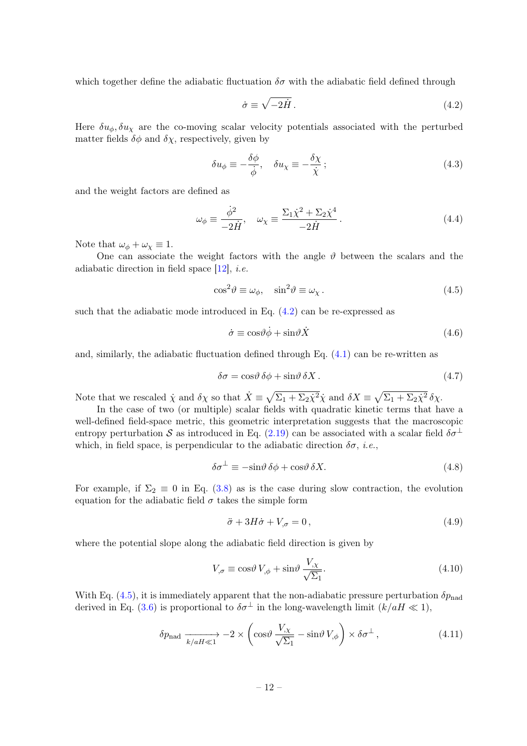which together define the adiabatic fluctuation  $\delta\sigma$  with the adiabatic field defined through

<span id="page-12-0"></span>
$$
\dot{\sigma} \equiv \sqrt{-2\dot{H}} \,. \tag{4.2}
$$

Here  $\delta u_{\phi}, \delta u_{\chi}$  are the co-moving scalar velocity potentials associated with the perturbed matter fields  $\delta\phi$  and  $\delta\chi$ , respectively, given by

$$
\delta u_{\phi} \equiv -\frac{\delta \phi}{\dot{\phi}}, \quad \delta u_{\chi} \equiv -\frac{\delta \chi}{\dot{\chi}}; \tag{4.3}
$$

and the weight factors are defined as

$$
\omega_{\phi} \equiv \frac{\dot{\phi}^2}{-2\dot{H}}, \quad \omega_{\chi} \equiv \frac{\Sigma_1 \dot{\chi}^2 + \Sigma_2 \dot{\chi}^4}{-2\dot{H}}.
$$
\n(4.4)

Note that  $\omega_{\phi} + \omega_{\chi} \equiv 1$ .

One can associate the weight factors with the angle  $\vartheta$  between the scalars and the adiabatic direction in field space  $[12]$ , *i.e.* 

<span id="page-12-1"></span>
$$
\cos^2 \theta \equiv \omega_{\phi}, \quad \sin^2 \theta \equiv \omega_{\chi}. \tag{4.5}
$$

such that the adiabatic mode introduced in Eq. [\(4.2\)](#page-12-0) can be re-expressed as

$$
\dot{\sigma} \equiv \cos \theta \dot{\phi} + \sin \theta \dot{X} \tag{4.6}
$$

and, similarly, the adiabatic fluctuation defined through Eq.  $(4.1)$  can be re-written as

$$
\delta \sigma = \cos \theta \, \delta \phi + \sin \theta \, \delta X \,. \tag{4.7}
$$

Note that we rescaled  $\dot{\chi}$  and  $\delta\chi$  so that  $\dot{X} \equiv \sqrt{\Sigma_1 + \Sigma_2 \dot{\chi}^2} \dot{\chi}$  and  $\delta X \equiv \sqrt{\Sigma_1 + \Sigma_2 \dot{\chi}^2} \delta\chi$ .

In the case of two (or multiple) scalar fields with quadratic kinetic terms that have a well-defined field-space metric, this geometric interpretation suggests that the macroscopic entropy perturbation S as introduced in Eq. [\(2.19\)](#page-7-5) can be associated with a scalar field  $\delta\sigma^{\perp}$ which, in field space, is perpendicular to the adiabatic direction  $\delta\sigma$ , *i.e.*,

$$
\delta \sigma^{\perp} \equiv -\sin \theta \, \delta \phi + \cos \theta \, \delta X. \tag{4.8}
$$

For example, if  $\Sigma_2 \equiv 0$  in Eq. [\(3.8\)](#page-9-0) as is the case during slow contraction, the evolution equation for the adiabatic field  $\sigma$  takes the simple form

$$
\ddot{\sigma} + 3H\dot{\sigma} + V_{,\sigma} = 0, \qquad (4.9)
$$

where the potential slope along the adiabatic field direction is given by

$$
V_{,\sigma} \equiv \cos\theta \, V_{,\phi} + \sin\theta \, \frac{V_{,\chi}}{\sqrt{\Sigma_1}}.\tag{4.10}
$$

With Eq. [\(4.5\)](#page-12-1), it is immediately apparent that the non-adiabatic pressure perturbation  $\delta p_{\text{nad}}$ derived in Eq. [\(3.6\)](#page-9-1) is proportional to  $\delta \sigma^{\perp}$  in the long-wavelength limit  $(k/aH \ll 1)$ ,

$$
\delta p_{\text{nad}} \xrightarrow[k/aH \ll 1]{} -2 \times \left( \cos \vartheta \frac{V_{,\chi}}{\sqrt{\Sigma_1}} - \sin \vartheta V_{,\phi} \right) \times \delta \sigma^{\perp} , \qquad (4.11)
$$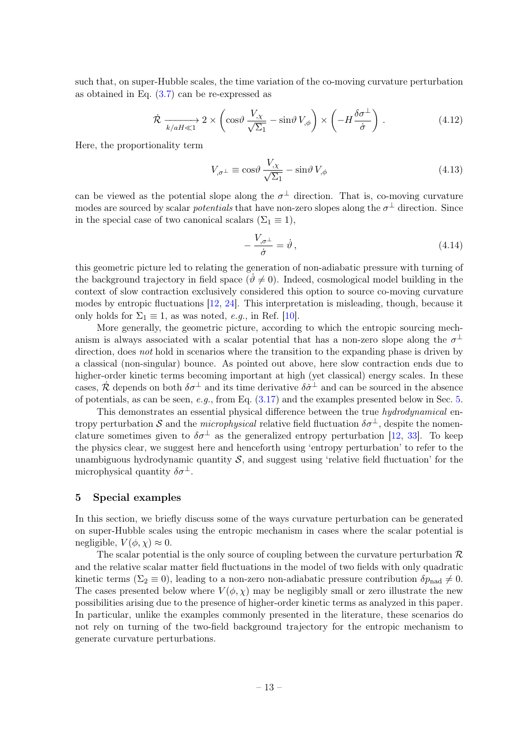such that, on super-Hubble scales, the time variation of the co-moving curvature perturbation as obtained in Eq. [\(3.7\)](#page-9-2) can be re-expressed as

$$
\dot{\mathcal{R}} \xrightarrow[k/aH \ll 1]{} 2 \times \left( \cos \theta \frac{V_{,\chi}}{\sqrt{\Sigma_1}} - \sin \theta \, V_{,\phi} \right) \times \left( -H \frac{\delta \sigma^{\perp}}{\dot{\sigma}} \right) . \tag{4.12}
$$

Here, the proportionality term

$$
V_{,\sigma^{\perp}} \equiv \cos\theta \, \frac{V_{,\chi}}{\sqrt{\Sigma_1}} - \sin\theta \, V_{,\phi} \tag{4.13}
$$

can be viewed as the potential slope along the  $\sigma^{\perp}$  direction. That is, co-moving curvature modes are sourced by scalar *potentials* that have non-zero slopes along the  $\sigma^{\perp}$  direction. Since in the special case of two canonical scalars ( $\Sigma_1 \equiv 1$ ),

$$
-\frac{V_{,\sigma^{\perp}}}{\dot{\sigma}} = \dot{\vartheta},\tag{4.14}
$$

this geometric picture led to relating the generation of non-adiabatic pressure with turning of the background trajectory in field space  $(\vartheta \neq 0)$ . Indeed, cosmological model building in the context of slow contraction exclusively considered this option to source co-moving curvature modes by entropic fluctuations [\[12,](#page-16-14) [24\]](#page-17-10). This interpretation is misleading, though, because it only holds for  $\Sigma_1 \equiv 1$ , as was noted, *e.g.*, in Ref. [\[10\]](#page-16-15).

More generally, the geometric picture, according to which the entropic sourcing mechanism is always associated with a scalar potential that has a non-zero slope along the  $\sigma^{\perp}$ direction, does not hold in scenarios where the transition to the expanding phase is driven by a classical (non-singular) bounce. As pointed out above, here slow contraction ends due to higher-order kinetic terms becoming important at high (yet classical) energy scales. In these cases,  $\dot{\mathcal{R}}$  depends on both  $\delta\sigma^{\perp}$  and its time derivative  $\delta\dot{\sigma}^{\perp}$  and can be sourced in the absence of potentials, as can be seen, e.g., from Eq.  $(3.17)$  and the examples presented below in Sec. [5.](#page-13-0)

This demonstrates an essential physical difference between the true hydrodynamical entropy perturbation S and the *microphysical* relative field fluctuation  $\delta \sigma^{\perp}$ , despite the nomenclature sometimes given to  $\delta\sigma^{\perp}$  as the generalized entropy perturbation [\[12,](#page-16-14) [33\]](#page-17-16). To keep the physics clear, we suggest here and henceforth using 'entropy perturbation' to refer to the unambiguous hydrodynamic quantity  $S$ , and suggest using 'relative field fluctuation' for the microphysical quantity  $\delta\sigma^{\perp}$ .

#### <span id="page-13-0"></span>5 Special examples

In this section, we briefly discuss some of the ways curvature perturbation can be generated on super-Hubble scales using the entropic mechanism in cases where the scalar potential is negligible,  $V(\phi, \chi) \approx 0$ .

The scalar potential is the only source of coupling between the curvature perturbation  $\mathcal{R}$ and the relative scalar matter field fluctuations in the model of two fields with only quadratic kinetic terms ( $\Sigma_2 \equiv 0$ ), leading to a non-zero non-adiabatic pressure contribution  $\delta p_{\text{nad}} \neq 0$ . The cases presented below where  $V(\phi, \chi)$  may be negligibly small or zero illustrate the new possibilities arising due to the presence of higher-order kinetic terms as analyzed in this paper. In particular, unlike the examples commonly presented in the literature, these scenarios do not rely on turning of the two-field background trajectory for the entropic mechanism to generate curvature perturbations.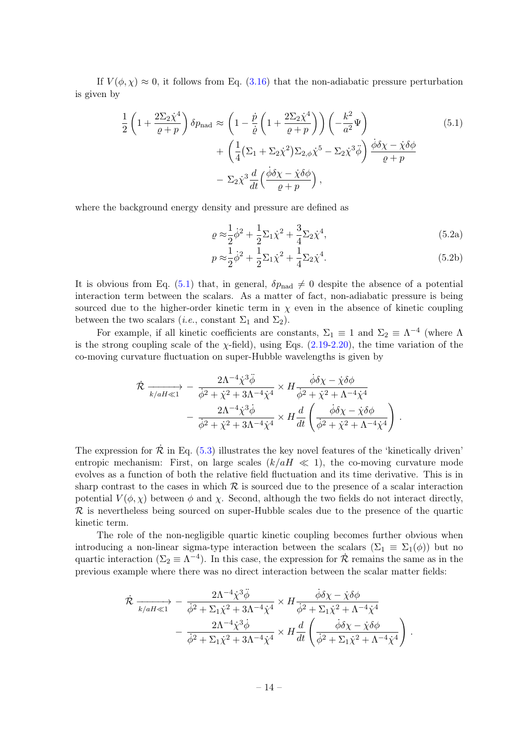If  $V(\phi, \chi) \approx 0$ , it follows from Eq. [\(3.16\)](#page-11-1) that the non-adiabatic pressure perturbation is given by

<span id="page-14-2"></span>
$$
\frac{1}{2}\left(1+\frac{2\Sigma_2\dot{\chi}^4}{\varrho+p}\right)\delta p_{\text{nad}} \approx \left(1-\frac{\dot{p}}{\dot{\varrho}}\left(1+\frac{2\Sigma_2\dot{\chi}^4}{\varrho+p}\right)\right)\left(-\frac{k^2}{a^2}\Psi\right) \n+ \left(\frac{1}{4}(\Sigma_1+\Sigma_2\dot{\chi}^2)\Sigma_{2,\phi}\dot{\chi}^5-\Sigma_2\dot{\chi}^3\ddot{\phi}\right)\frac{\dot{\phi}\delta\chi-\dot{\chi}\delta\phi}{\varrho+p} \n- \Sigma_2\dot{\chi}^3\frac{d}{dt}\left(\frac{\dot{\phi}\delta\chi-\dot{\chi}\delta\phi}{\varrho+p}\right),
$$
\n(5.1)

where the background energy density and pressure are defined as

<span id="page-14-0"></span>
$$
\varrho \approx \frac{1}{2} \dot{\phi}^2 + \frac{1}{2} \Sigma_1 \dot{\chi}^2 + \frac{3}{4} \Sigma_2 \dot{\chi}^4,\tag{5.2a}
$$

<span id="page-14-1"></span>
$$
p \approx \frac{1}{2} \dot{\phi}^2 + \frac{1}{2} \Sigma_1 \dot{\chi}^2 + \frac{1}{4} \Sigma_2 \dot{\chi}^4.
$$
 (5.2b)

It is obvious from Eq. [\(5.1\)](#page-14-2) that, in general,  $\delta p_{\text{nad}} \neq 0$  despite the absence of a potential interaction term between the scalars. As a matter of fact, non-adiabatic pressure is being sourced due to the higher-order kinetic term in  $\chi$  even in the absence of kinetic coupling between the two scalars (*i.e.*, constant  $\Sigma_1$  and  $\Sigma_2$ ).

For example, if all kinetic coefficients are constants,  $\Sigma_1 \equiv 1$  and  $\Sigma_2 \equiv \Lambda^{-4}$  (where  $\Lambda$ is the strong coupling scale of the  $\chi$ -field), using Eqs. [\(2.19-](#page-7-5)[2.20\)](#page-7-4), the time variation of the co-moving curvature fluctuation on super-Hubble wavelengths is given by

<span id="page-14-3"></span>
$$
\dot{\mathcal{R}} \xrightarrow[k/aH\ll1]{} - \frac{2\Lambda^{-4}\dot{\chi}^3\ddot{\phi}}{\dot{\phi}^2 + \dot{\chi}^2 + 3\Lambda^{-4}\dot{\chi}^4} \times H \frac{\dot{\phi}\delta\chi - \dot{\chi}\delta\phi}{\dot{\phi}^2 + \dot{\chi}^2 + \Lambda^{-4}\dot{\chi}^4} - \frac{2\Lambda^{-4}\dot{\chi}^3\dot{\phi}}{\dot{\phi}^2 + \dot{\chi}^2 + 3\Lambda^{-4}\dot{\chi}^4} \times H \frac{d}{dt} \left( \frac{\dot{\phi}\delta\chi - \dot{\chi}\delta\phi}{\dot{\phi}^2 + \dot{\chi}^2 + \Lambda^{-4}\dot{\chi}^4} \right).
$$

The expression for  $\dot{\mathcal{R}}$  in Eq. [\(5.3\)](#page-14-3) illustrates the key novel features of the 'kinetically driven' entropic mechanism: First, on large scales  $(k/aH \ll 1)$ , the co-moving curvature mode evolves as a function of both the relative field fluctuation and its time derivative. This is in sharp contrast to the cases in which  $R$  is sourced due to the presence of a scalar interaction potential  $V(\phi, \chi)$  between  $\phi$  and  $\chi$ . Second, although the two fields do not interact directly, R is nevertheless being sourced on super-Hubble scales due to the presence of the quartic kinetic term.

The role of the non-negligible quartic kinetic coupling becomes further obvious when introducing a non-linear sigma-type interaction between the scalars  $(\Sigma_1 \equiv \Sigma_1(\phi))$  but no quartic interaction ( $\Sigma_2 \equiv \Lambda^{-4}$ ). In this case, the expression for  $\dot{\mathcal{R}}$  remains the same as in the previous example where there was no direct interaction between the scalar matter fields:

$$
\begin{split} \dot{\mathcal{R}} \xrightarrow[k/aH\ll1]{} & -\frac{2\Lambda^{-4}\dot{\chi}^3\ddot{\phi}}{\dot{\phi}^2 + \Sigma_1\dot{\chi}^2 + 3\Lambda^{-4}\dot{\chi}^4} \times H \frac{\dot{\phi}\delta\chi - \dot{\chi}\delta\phi}{\dot{\phi}^2 + \Sigma_1\dot{\chi}^2 + \Lambda^{-4}\dot{\chi}^4} \\ & -\frac{2\Lambda^{-4}\dot{\chi}^3\dot{\phi}}{\dot{\phi}^2 + \Sigma_1\dot{\chi}^2 + 3\Lambda^{-4}\dot{\chi}^4} \times H \frac{d}{dt} \left( \frac{\dot{\phi}\delta\chi - \dot{\chi}\delta\phi}{\dot{\phi}^2 + \Sigma_1\dot{\chi}^2 + \Lambda^{-4}\dot{\chi}^4} \right) \,. \end{split}
$$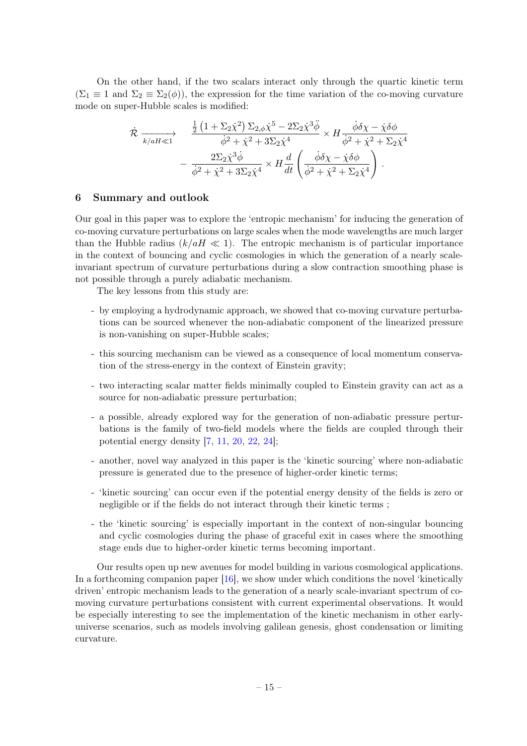On the other hand, if the two scalars interact only through the quartic kinetic term  $(\Sigma_1 \equiv 1 \text{ and } \Sigma_2 \equiv \Sigma_2(\phi))$ , the expression for the time variation of the co-moving curvature mode on super-Hubble scales is modified:

$$
\begin{split}\n\dot{\mathcal{R}} \xrightarrow[k/aH\ll1] \xrightarrow{\frac{1}{2} \left(1 + \Sigma_2 \dot{\chi}^2\right) \Sigma_{2,\phi} \dot{\chi}^5 - 2\Sigma_2 \dot{\chi}^3 \ddot{\phi}} \times H \frac{\dot{\phi} \delta \chi - \dot{\chi} \delta \phi}{\dot{\phi}^2 + \dot{\chi}^2 + \Sigma_2 \dot{\chi}^4} \\
&- \frac{2\Sigma_2 \dot{\chi}^3 \dot{\phi}}{\dot{\phi}^2 + \dot{\chi}^2 + 3\Sigma_2 \dot{\chi}^4} \times H \frac{d}{dt} \left(\frac{\dot{\phi} \delta \chi - \dot{\chi} \delta \phi}{\dot{\phi}^2 + \dot{\chi}^2 + \Sigma_2 \dot{\chi}^4}\right).\n\end{split}
$$

#### <span id="page-15-0"></span>6 Summary and outlook

Our goal in this paper was to explore the 'entropic mechanism' for inducing the generation of co-moving curvature perturbations on large scales when the mode wavelengths are much larger than the Hubble radius  $(k/aH \ll 1)$ . The entropic mechanism is of particular importance in the context of bouncing and cyclic cosmologies in which the generation of a nearly scaleinvariant spectrum of curvature perturbations during a slow contraction smoothing phase is not possible through a purely adiabatic mechanism.

The key lessons from this study are:

- by employing a hydrodynamic approach, we showed that co-moving curvature perturbations can be sourced whenever the non-adiabatic component of the linearized pressure is non-vanishing on super-Hubble scales;
- this sourcing mechanism can be viewed as a consequence of local momentum conservation of the stress-energy in the context of Einstein gravity;
- two interacting scalar matter fields minimally coupled to Einstein gravity can act as a source for non-adiabatic pressure perturbation;
- a possible, already explored way for the generation of non-adiabatic pressure perturbations is the family of two-field models where the fields are coupled through their potential energy density [\[7,](#page-16-6) [11,](#page-16-7) [20,](#page-17-7) [22,](#page-17-9) [24\]](#page-17-10);
- another, novel way analyzed in this paper is the 'kinetic sourcing' where non-adiabatic pressure is generated due to the presence of higher-order kinetic terms;
- 'kinetic sourcing' can occur even if the potential energy density of the fields is zero or negligible or if the fields do not interact through their kinetic terms ;
- the 'kinetic sourcing' is especially important in the context of non-singular bouncing and cyclic cosmologies during the phase of graceful exit in cases where the smoothing stage ends due to higher-order kinetic terms becoming important.

Our results open up new avenues for model building in various cosmological applications. In a forthcoming companion paper [\[16\]](#page-16-16), we show under which conditions the novel 'kinetically driven' entropic mechanism leads to the generation of a nearly scale-invariant spectrum of comoving curvature perturbations consistent with current experimental observations. It would be especially interesting to see the implementation of the kinetic mechanism in other earlyuniverse scenarios, such as models involving galilean genesis, ghost condensation or limiting curvature.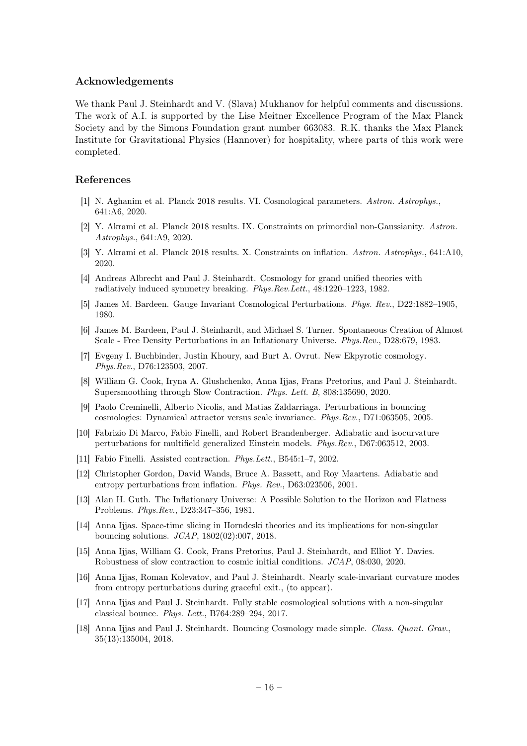#### Acknowledgements

We thank Paul J. Steinhardt and V. (Slava) Mukhanov for helpful comments and discussions. The work of A.I. is supported by the Lise Meitner Excellence Program of the Max Planck Society and by the Simons Foundation grant number 663083. R.K. thanks the Max Planck Institute for Gravitational Physics (Hannover) for hospitality, where parts of this work were completed.

# References

- <span id="page-16-0"></span>[1] N. Aghanim et al. Planck 2018 results. VI. Cosmological parameters. Astron. Astrophys., 641:A6, 2020.
- [2] Y. Akrami et al. Planck 2018 results. IX. Constraints on primordial non-Gaussianity. Astron. Astrophys., 641:A9, 2020.
- <span id="page-16-1"></span>[3] Y. Akrami et al. Planck 2018 results. X. Constraints on inflation. Astron. Astrophys., 641:A10, 2020.
- <span id="page-16-3"></span>[4] Andreas Albrecht and Paul J. Steinhardt. Cosmology for grand unified theories with radiatively induced symmetry breaking. Phys.Rev.Lett., 48:1220–1223, 1982.
- <span id="page-16-10"></span>[5] James M. Bardeen. Gauge Invariant Cosmological Perturbations. Phys. Rev., D22:1882–1905, 1980.
- <span id="page-16-2"></span>[6] James M. Bardeen, Paul J. Steinhardt, and Michael S. Turner. Spontaneous Creation of Almost Scale - Free Density Perturbations in an Inflationary Universe. Phys.Rev., D28:679, 1983.
- <span id="page-16-6"></span>[7] Evgeny I. Buchbinder, Justin Khoury, and Burt A. Ovrut. New Ekpyrotic cosmology. Phys.Rev., D76:123503, 2007.
- <span id="page-16-8"></span>[8] William G. Cook, Iryna A. Glushchenko, Anna Ijjas, Frans Pretorius, and Paul J. Steinhardt. Supersmoothing through Slow Contraction. Phys. Lett. B, 808:135690, 2020.
- <span id="page-16-12"></span>[9] Paolo Creminelli, Alberto Nicolis, and Matias Zaldarriaga. Perturbations in bouncing cosmologies: Dynamical attractor versus scale invariance. Phys.Rev., D71:063505, 2005.
- <span id="page-16-15"></span>[10] Fabrizio Di Marco, Fabio Finelli, and Robert Brandenberger. Adiabatic and isocurvature perturbations for multifield generalized Einstein models. Phys.Rev., D67:063512, 2003.
- <span id="page-16-7"></span>[11] Fabio Finelli. Assisted contraction. Phys.Lett., B545:1–7, 2002.
- <span id="page-16-14"></span>[12] Christopher Gordon, David Wands, Bruce A. Bassett, and Roy Maartens. Adiabatic and entropy perturbations from inflation. Phys. Rev., D63:023506, 2001.
- <span id="page-16-4"></span>[13] Alan H. Guth. The Inflationary Universe: A Possible Solution to the Horizon and Flatness Problems. Phys.Rev., D23:347–356, 1981.
- <span id="page-16-11"></span>[14] Anna Ijjas. Space-time slicing in Horndeski theories and its implications for non-singular bouncing solutions. JCAP, 1802(02):007, 2018.
- <span id="page-16-9"></span>[15] Anna Ijjas, William G. Cook, Frans Pretorius, Paul J. Steinhardt, and Elliot Y. Davies. Robustness of slow contraction to cosmic initial conditions. JCAP, 08:030, 2020.
- <span id="page-16-16"></span>[16] Anna Ijjas, Roman Kolevatov, and Paul J. Steinhardt. Nearly scale-invariant curvature modes from entropy perturbations during graceful exit., (to appear).
- <span id="page-16-13"></span>[17] Anna Ijjas and Paul J. Steinhardt. Fully stable cosmological solutions with a non-singular classical bounce. Phys. Lett., B764:289–294, 2017.
- <span id="page-16-5"></span>[18] Anna Ijjas and Paul J. Steinhardt. Bouncing Cosmology made simple. Class. Quant. Grav., 35(13):135004, 2018.